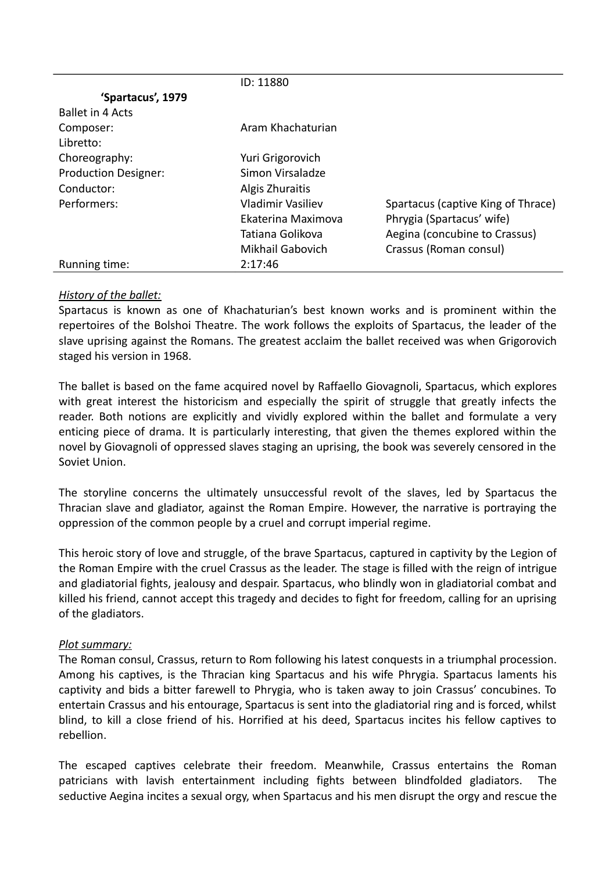|                             | ID: 11880          |                                    |
|-----------------------------|--------------------|------------------------------------|
| 'Spartacus', 1979           |                    |                                    |
| <b>Ballet in 4 Acts</b>     |                    |                                    |
| Composer:                   | Aram Khachaturian  |                                    |
| Libretto:                   |                    |                                    |
| Choreography:               | Yuri Grigorovich   |                                    |
| <b>Production Designer:</b> | Simon Virsaladze   |                                    |
| Conductor:                  | Algis Zhuraitis    |                                    |
| Performers:                 | Vladimir Vasiliev  | Spartacus (captive King of Thrace) |
|                             | Ekaterina Maximova | Phrygia (Spartacus' wife)          |
|                             | Tatiana Golikova   | Aegina (concubine to Crassus)      |
|                             | Mikhail Gabovich   | Crassus (Roman consul)             |
| Running time:               | 2:17:46            |                                    |

## *History of the ballet:*

Spartacus is known as one of Khachaturian's best known works and is prominent within the repertoires of the Bolshoi Theatre. The work follows the exploits of Spartacus, the leader of the slave uprising against the Romans. The greatest acclaim the ballet received was when Grigorovich staged his version in 1968.

The ballet is based on the fame acquired novel by Raffaello Giovagnoli, Spartacus, which explores with great interest the historicism and especially the spirit of struggle that greatly infects the reader. Both notions are explicitly and vividly explored within the ballet and formulate a very enticing piece of drama. It is particularly interesting, that given the themes explored within the novel by Giovagnoli of oppressed slaves staging an uprising, the book was severely censored in the Soviet Union.

The storyline concerns the ultimately unsuccessful revolt of the slaves, led by Spartacus the Thracian slave and gladiator, against the Roman Empire. However, the narrative is portraying the oppression of the common people by a cruel and corrupt imperial regime.

This heroic story of love and struggle, of the brave Spartacus, captured in captivity by the Legion of the Roman Empire with the cruel Crassus as the leader. The stage is filled with the reign of intrigue and gladiatorial fights, jealousy and despair. Spartacus, who blindly won in gladiatorial combat and killed his friend, cannot accept this tragedy and decides to fight for freedom, calling for an uprising of the gladiators.

## *Plot summary:*

The Roman consul, Crassus, return to Rom following his latest conquests in a triumphal procession. Among his captives, is the Thracian king Spartacus and his wife Phrygia. Spartacus laments his captivity and bids a bitter farewell to Phrygia, who is taken away to join Crassus' concubines. To entertain Crassus and his entourage, Spartacus is sent into the gladiatorial ring and is forced, whilst blind, to kill a close friend of his. Horrified at his deed, Spartacus incites his fellow captives to rebellion.

The escaped captives celebrate their freedom. Meanwhile, Crassus entertains the Roman patricians with lavish entertainment including fights between blindfolded gladiators. The seductive Aegina incites a sexual orgy, when Spartacus and his men disrupt the orgy and rescue the